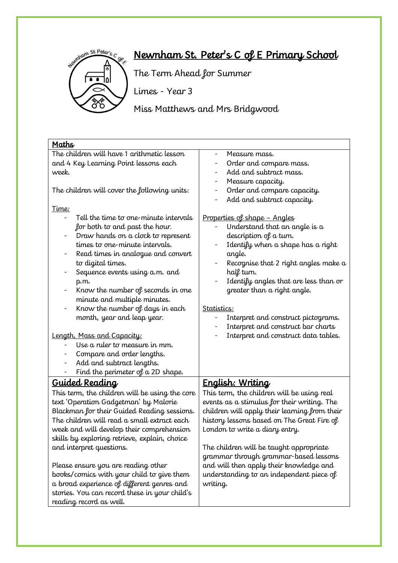

# Newnham St. Peter's C of E Primary School

The Term Ahead for Summer

Limes - Year 3

Miss Matthews and Mrs Bridgwood

| Maths                                          |                                                    |  |  |
|------------------------------------------------|----------------------------------------------------|--|--|
| The children will have 1 arithmetic lesson     | Measure mass.<br>$\overline{\phantom{a}}$          |  |  |
| and 4 Key Learning Point lessons each          | Order and compare mass.                            |  |  |
| week.                                          | Add and subtract mass.<br>$\overline{\phantom{a}}$ |  |  |
|                                                | Measure capacity.<br>$\qquad \qquad -$             |  |  |
| The children will cover the following units:   | Order and compare capacity.<br>$\qquad \qquad -$   |  |  |
|                                                | Add and subtract capacity.                         |  |  |
| <u>Time:</u>                                   |                                                    |  |  |
| Tell the time to one-minute intervals          | <u> Properties of shape - Angles</u>               |  |  |
| for both to and past the hour.                 | Understand that an angle is a                      |  |  |
| Draw hands on a clock to represent             | description of a turn.                             |  |  |
| times to one-minute intervals.                 | Identify when a shape has a right                  |  |  |
| Read times in analogue and convert             | angle.                                             |  |  |
| to digital times.                              | Recognise that 2 right angles make $a$             |  |  |
| Sequence events using a.m. and                 | half turn.                                         |  |  |
| p.m.                                           | Identify angles that are less than or              |  |  |
| Know the number of seconds in one              | greater than a right angle.                        |  |  |
| minute and multiple minutes.                   |                                                    |  |  |
| Know the number of days in each                | Statistics:                                        |  |  |
| month, year and leap year.                     | Interpret and construct pictograms.                |  |  |
|                                                | Interpret and construct bar charts                 |  |  |
| <u>Length, Mass and Capacity:</u>              | Interpret and construct data tables.               |  |  |
| Use a ruler to measure in mm.                  |                                                    |  |  |
| Compare and order lengths.                     |                                                    |  |  |
| Add and subtract lengths.                      |                                                    |  |  |
| Find the perimeter of $a$ 2D shape.            |                                                    |  |  |
| <u>Guided Reading</u>                          | <u>English: Writing</u>                            |  |  |
| This term, the children will be using the core | This term, the children will be using real         |  |  |
| text 'Operation Gadgetman' by Malorie          | events as a stimulus for their writing. The        |  |  |
| Blackman for their Guided Reading sessions.    | children will apply their learning from their      |  |  |
| The children will read a small extract each    | history lessons based on The Great Fire of         |  |  |
| week and will develop their comprehension      | London to write a diary entry.                     |  |  |
| skills by exploring retrieve, explain, choice  |                                                    |  |  |
| and interpret questions.                       | The children will be taught appropriate            |  |  |
|                                                | grammar through grammar-based lessons              |  |  |
| Please ensure you are reading other            | and will then apply their knowledge and            |  |  |
| books/comics with your child to give them      | understanding to an independent piece of           |  |  |
| a broad experience of different genres and     | writing.                                           |  |  |
| stories. You can record these in your child's  |                                                    |  |  |
| reading record as well.                        |                                                    |  |  |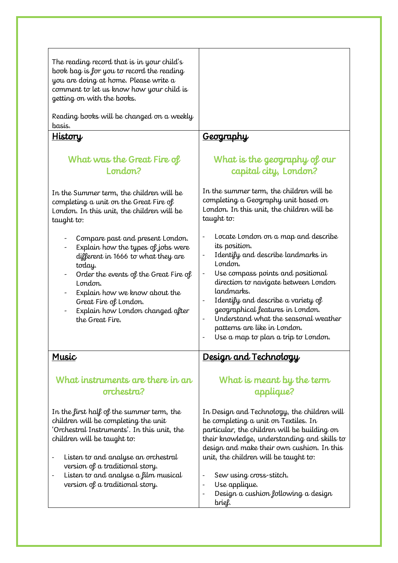| The reading record that is in your child's<br>book bag is for you to record the reading<br>you are doing at home. Please write a<br>comment to let us know how your child is<br>getting on with the books.<br>Reading books will be changed on a weekly<br>basis.<br><u>History</u>                                  | <u>Geography</u>                                                                                                                                                                                                                                                                                                                                                                                                                               |
|----------------------------------------------------------------------------------------------------------------------------------------------------------------------------------------------------------------------------------------------------------------------------------------------------------------------|------------------------------------------------------------------------------------------------------------------------------------------------------------------------------------------------------------------------------------------------------------------------------------------------------------------------------------------------------------------------------------------------------------------------------------------------|
| What was the Great Fire of<br>London?<br>In the Summer term, the children will be                                                                                                                                                                                                                                    | What is the geography of our<br>capital city, London?<br>In the summer term, the children will be                                                                                                                                                                                                                                                                                                                                              |
| completing a unit on the Great Fire of<br>London. In this unit, the children will be<br>taught to:                                                                                                                                                                                                                   | completing a Geography unit based on<br>London. In this unit, the children will be<br>taught to:                                                                                                                                                                                                                                                                                                                                               |
| Compare past and present London.<br>Explain how the types of jobs were<br>different in 1666 to what they are<br>today.<br>Order the events of the Great Fire of<br>London.<br>Explain how we know about the<br>Great Fire of London.<br>Explain how London changed after<br>the Great Fire.                          | Locate London on a map and describe<br>$\qquad \qquad -$<br>its position.<br>Identify and describe landmarks in<br>$\qquad \qquad \blacksquare$<br>London.<br>Use compass points and positional<br>direction to navigate between London<br>landmarks.<br>Identify and describe a variety of<br>geographical features in London.<br>Understand what the seasonal weather<br>patterns are like in London.<br>Use a map to plan a trip to London. |
| Music                                                                                                                                                                                                                                                                                                                | <u>Design and Technology</u>                                                                                                                                                                                                                                                                                                                                                                                                                   |
| What instruments are there in an<br>orchestra?                                                                                                                                                                                                                                                                       | What is meant by the term<br>applique?                                                                                                                                                                                                                                                                                                                                                                                                         |
| In the first half of the summer term, the<br>children will be completing the unit<br>'Orchestral Instruments'. In this unit, the<br>children will be taught to:<br>Listen to and analyse an orchestral<br>version of a traditional story.<br>Listen to and analyse a film musical<br>version of a traditional story. | In Design and Technology, the children will<br>be completing a unit on Textiles. In<br>particular, the children will be building on<br>their knowledge, understanding and skills to<br>design and make their own cushion. In this<br>unit, the children will be taught to:<br>Sew using cross-stitch.<br>$\overline{\phantom{0}}$<br>Use applique.<br>Design a cushion following a design<br>brief.                                            |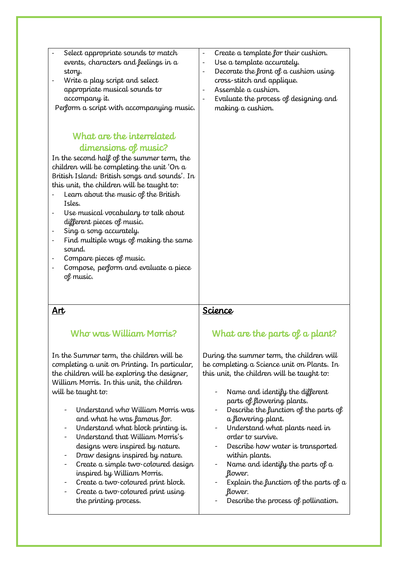| Select appropriate sounds to match<br>events, characters and feelings in a<br>story.<br>Write a play script and select<br>appropriate musical sounds to<br>accompany it.<br>Perform a script with accompanying music.                                                                                                                                                                                                                                                                                                                                            | Create a template for their cushion.<br>Use a template accurately.<br>Decorate the front of a cushion using<br>cross-stitch and applique.<br>Assemble a cushion.<br>Evaluate the process of designing and<br>making a cushion. |
|------------------------------------------------------------------------------------------------------------------------------------------------------------------------------------------------------------------------------------------------------------------------------------------------------------------------------------------------------------------------------------------------------------------------------------------------------------------------------------------------------------------------------------------------------------------|--------------------------------------------------------------------------------------------------------------------------------------------------------------------------------------------------------------------------------|
| What are the interrelated<br>dimensions of music?<br>In the second half of the summer term, the<br>children will be completing the unit 'On a<br>British Island: British songs and sounds'. In<br>this unit, the children will be taught to:<br>Learn about the music of the British<br>Isles.<br>Use musical vocabulary to talk about<br>different pieces of music.<br>Sing a song accurately.<br>$\overline{\phantom{a}}$<br>Find multiple ways of making the same<br>sound.<br>Compare pieces of music.<br>Compose, perform and evaluate a piece<br>of music. |                                                                                                                                                                                                                                |

#### Art

### Who was William Morris?

In the Summer term, the children will be completing a unit on Printing. In particular, the children will be exploring the designer, William Morris. In this unit, the children will be taught to:

- Understand who William Morris was and what he was famous for.
- Understand what block printing is.
- Understand that William Morris's designs were inspired by nature.
- Draw designs inspired by nature.
- Create a simple two-coloured design inspired by William Morris.
- Create a two-coloured print block.
- Create a two-coloured print using the printing process.

#### **Science**

### What are the parts of a plant?

During the summer term, the children will be completing a Science unit on Plants. In this unit, the children will be taught to:

- Name and identify the different parts of flowering plants.
- Describe the function of the parts of a flowering plant.
- Understand what plants need in order to survive.
- Describe how water is transported within plants.
- Name and identify the parts of  $a$ flower.
- Explain the function of the parts of  $a$ flower.
- Describe the process of pollination.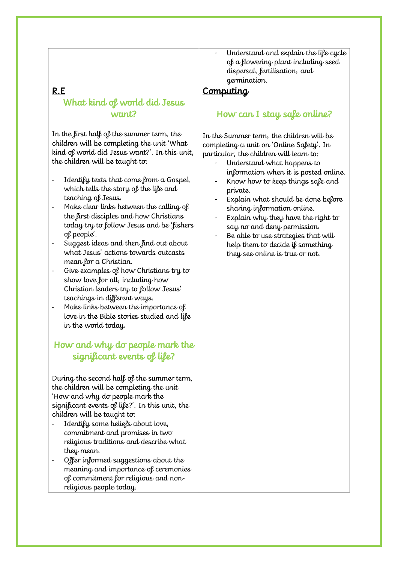Understand and explain the life cycle of a flowering plant including seed dispersal, fertilisation, and germination.

#### R.E

### What kind of world did Jesus want?

In the first half of the summer term, the children will be completing the unit 'What kind of world did Jesus want?'. In this unit, the children will be taught to:

- Identify texts that come from a Gospel, which tells the story of the life and teaching of Jesus.
- Make clear links between the calling of the first disciples and how Christians today try to follow Jesus and be 'fishers of people'.
- Suggest ideas and then find out about what Jesus' actions towards outcasts mean for a Christian.
- Give examples of how Christians try to show love for all, including how Christian leaders try to follow Jesus' teachings in different ways.
- Make links between the importance of love in the Bible stories studied and life in the world today.

### How and why do people mark the significant events of life?

During the second half of the summer term, the children will be completing the unit 'How and why do people mark the significant events of life?'. In this unit, the children will be taught to:

- Identify some beliefs about love, commitment and promises in two religious traditions and describe what they mean.
- Offer informed suggestions about the meaning and importance of ceremonies of commitment for religious and nonreligious people today.

#### Computing

#### How can I stay safe online?

In the Summer term, the children will be completing a unit on 'Online Safety'. In particular, the children will learn to:

- Understand what happens to information when it is posted online.
- Know how to keep things safe and private.
- Explain what should be done before sharing information online.
- Explain why they have the right to say no and deny permission.
- Be able to use strategies that will help them to decide if something they see online is true or not.